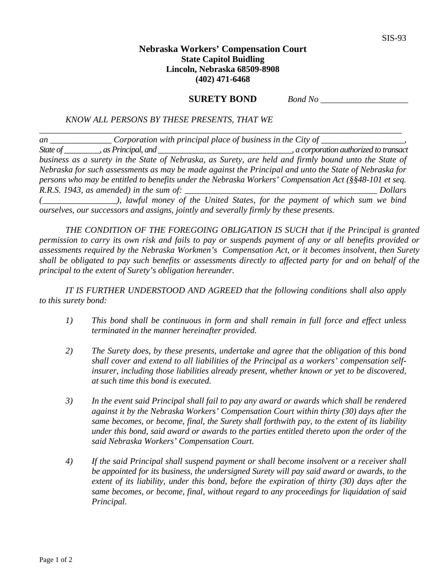## **Nebraska Workers' Compensation Court State Capitol Buidling Lincoln, Nebraska 68509-8908 (402) 471-6468**

**SURETY BOND**  *Bond No \_\_\_\_\_\_\_\_\_\_\_\_\_\_\_\_\_\_\_\_*

*KNOW ALL PERSONS BY THESE PRESENTS, THAT WE* 

*an \_\_\_\_\_\_\_\_\_\_\_\_\_\_ Corporation with principal place of business in the City of \_\_\_\_\_\_\_\_\_\_\_\_\_\_\_\_\_\_\_, State of \_\_\_\_\_\_\_\_\_, as Principal, and \_\_\_\_\_\_\_\_\_\_\_\_\_\_\_\_\_\_\_\_\_\_\_\_\_\_\_\_\_\_\_\_\_\_, a corporation authorized to transact business as a surety in the State of Nebraska, as Surety, are held and firmly bound unto the State of Nebraska for such assessments as may be made against the Principal and unto the State of Nebraska for persons who may be entitled to benefits under the Nebraska Workers' Compensation Act (§§48-101 et seq. R.R.S. 1943, as amended) in the sum of: \_\_\_\_\_\_\_\_\_\_\_\_\_\_\_\_\_\_\_\_\_\_\_\_\_\_\_\_\_\_\_\_\_\_\_\_\_\_\_\_\_\_\_\_ Dollars (\_\_\_\_\_\_\_\_\_\_\_\_\_\_\_\_\_), lawful money of the United States, for the payment of which sum we bind ourselves, our successors and assigns, jointly and severally firmly by these presents.* 

*\_\_\_\_\_\_\_\_\_\_\_\_\_\_\_\_\_\_\_\_\_\_\_\_\_\_\_\_\_\_\_\_\_\_\_\_\_\_\_\_\_\_\_\_\_\_\_\_\_\_\_\_\_\_\_\_\_\_\_\_\_\_\_\_\_\_\_\_\_\_\_\_\_\_\_\_\_\_\_\_\_\_\_* 

 *THE CONDITION OF THE FOREGOING OBLIGATION IS SUCH that if the Principal is granted permission to carry its own risk and fails to pay or suspends payment of any or all benefits provided or assessments required by the Nebraska Workmen's Compensation Act, or it becomes insolvent, then Surety shall be obligated to pay such benefits or assessments directly to affected party for and on behalf of the principal to the extent of Surety's obligation hereunder.* 

 *IT IS FURTHER UNDERSTOOD AND AGREED that the following conditions shall also apply to this surety bond:* 

- *1) This bond shall be continuous in form and shall remain in full force and effect unless terminated in the manner hereinafter provided.*
- *2) The Surety does, by these presents, undertake and agree that the obligation of this bond shall cover and extend to all liabilities of the Principal as a workers' compensation selfinsurer, including those liabilities already present, whether known or yet to be discovered, at such time this bond is executed.*
- *3) In the event said Principal shall fail to pay any award or awards which shall be rendered against it by the Nebraska Workers' Compensation Court within thirty (30) days after the same becomes, or become, final, the Surety shall forthwith pay, to the extent of its liability under this bond, said award or awards to the parties entitled thereto upon the order of the said Nebraska Workers' Compensation Court.*
- *4) If the said Principal shall suspend payment or shall become insolvent or a receiver shall be appointed for its business, the undersigned Surety will pay said award or awards, to the extent of its liability, under this bond, before the expiration of thirty (30) days after the same becomes, or become, final, without regard to any proceedings for liquidation of said Principal.*